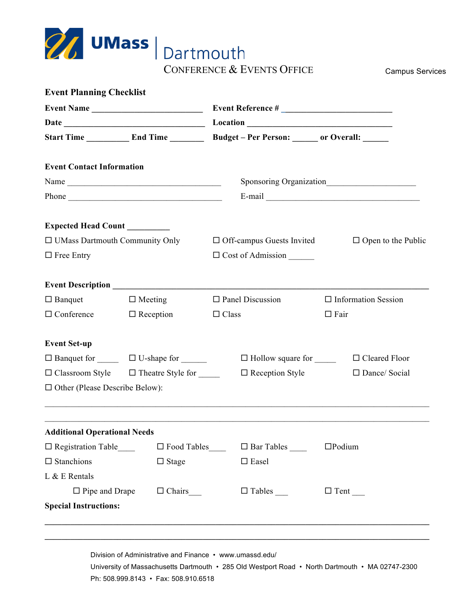

| Event Name<br><b>Event Contact Information</b><br>Name<br>$\Box$ Free Entry<br>$\Box$ Banquet<br>$\Box$ Meeting<br>$\Box$ Reception<br>$\Box$ Conference<br>$\Box$ Banquet for $\Box$ $\Box$ U-shape for $\Box$ | $\Box$ Off-campus Guests Invited<br>$\Box$ Cost of Admission<br>$\Box$ Panel Discussion<br>$\Box$ Information Session<br>$\Box$ Class<br>$\Box$ Fair |
|-----------------------------------------------------------------------------------------------------------------------------------------------------------------------------------------------------------------|------------------------------------------------------------------------------------------------------------------------------------------------------|
|                                                                                                                                                                                                                 |                                                                                                                                                      |
|                                                                                                                                                                                                                 |                                                                                                                                                      |
|                                                                                                                                                                                                                 |                                                                                                                                                      |
|                                                                                                                                                                                                                 |                                                                                                                                                      |
| Expected Head Count ________<br>□ UMass Dartmouth Community Only<br><b>Event Set-up</b>                                                                                                                         | $\Box$ Open to the Public                                                                                                                            |
|                                                                                                                                                                                                                 |                                                                                                                                                      |
|                                                                                                                                                                                                                 |                                                                                                                                                      |
|                                                                                                                                                                                                                 |                                                                                                                                                      |
|                                                                                                                                                                                                                 |                                                                                                                                                      |
|                                                                                                                                                                                                                 |                                                                                                                                                      |
|                                                                                                                                                                                                                 |                                                                                                                                                      |
|                                                                                                                                                                                                                 |                                                                                                                                                      |
|                                                                                                                                                                                                                 |                                                                                                                                                      |
|                                                                                                                                                                                                                 | $\Box$ Hollow square for $\Box$ $\Box$ Cleared Floor                                                                                                 |
| $\Box$ Classroom Style $\Box$ Theatre Style for                                                                                                                                                                 | $\Box$ Reception Style<br>$\Box$ Dance/ Social                                                                                                       |
| $\Box$ Other (Please Describe Below):                                                                                                                                                                           |                                                                                                                                                      |
| <b>Additional Operational Needs</b>                                                                                                                                                                             |                                                                                                                                                      |
| $\Box$ Registration Table                                                                                                                                                                                       | $\Box$ Food Tables<br>$\square$ Podium                                                                                                               |
| $\square$ Stanchions<br>$\Box$ Stage                                                                                                                                                                            | $\square$ Easel                                                                                                                                      |
| L & E Rentals                                                                                                                                                                                                   |                                                                                                                                                      |
| $\Box$ Pipe and Drape                                                                                                                                                                                           | $\Box$ Chairs _______<br>$\Box$ Tent                                                                                                                 |
| <b>Special Instructions:</b>                                                                                                                                                                                    |                                                                                                                                                      |
|                                                                                                                                                                                                                 |                                                                                                                                                      |

University of Massachusetts Dartmouth • 285 Old Westport Road • North Dartmouth • MA 02747-2300 Ph: 508.999.8143 • Fax: 508.910.6518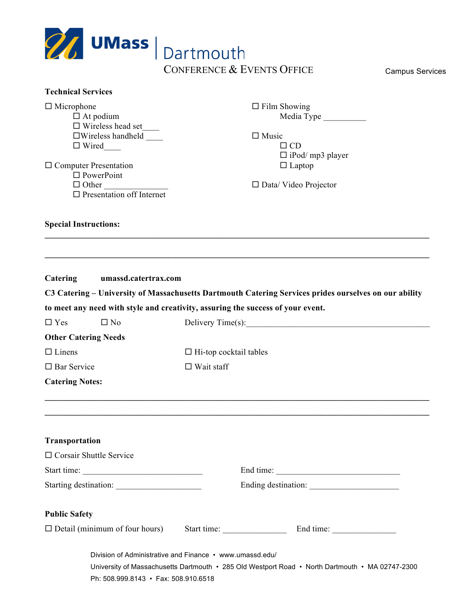| $\mathscr{D}$ UMass                                                                                                                                                                                                                                    | Dartmouth                     |                                                                                                                                            |  |
|--------------------------------------------------------------------------------------------------------------------------------------------------------------------------------------------------------------------------------------------------------|-------------------------------|--------------------------------------------------------------------------------------------------------------------------------------------|--|
|                                                                                                                                                                                                                                                        | CONFERENCE & EVENTS OFFICE    | <b>Campus Services</b>                                                                                                                     |  |
|                                                                                                                                                                                                                                                        |                               |                                                                                                                                            |  |
| <b>Technical Services</b><br>$\Box$ Microphone<br>$\Box$ At podium<br>$\Box$ Wireless head set<br>$\square$ Wireless handheld<br>$\Box$ Wired<br>$\Box$ Computer Presentation<br>$\Box$ PowerPoint<br>$\Box$ Other<br>$\Box$ Presentation off Internet |                               | $\Box$ Film Showing<br>Media Type<br>$\Box$ Music<br>$\Box$ CD<br>$\Box$ iPod/ mp3 player<br>$\Box$ Laptop<br>$\Box$ Data/ Video Projector |  |
| <b>Special Instructions:</b>                                                                                                                                                                                                                           |                               |                                                                                                                                            |  |
| C3 Catering - University of Massachusetts Dartmouth Catering Services prides ourselves on our ability<br>to meet any need with style and creativity, assuring the success of your event.<br>$\Box$ Yes<br>$\square$ No<br><b>Other Catering Needs</b>  |                               | Delivery Time(s):                                                                                                                          |  |
| $\Box$ Linens                                                                                                                                                                                                                                          | $\Box$ Hi-top cocktail tables |                                                                                                                                            |  |
| $\square$ Bar Service                                                                                                                                                                                                                                  | $\Box$ Wait staff             |                                                                                                                                            |  |
| <b>Catering Notes:</b>                                                                                                                                                                                                                                 |                               |                                                                                                                                            |  |
| Transportation<br>$\Box$ Corsair Shuttle Service                                                                                                                                                                                                       |                               | End time:                                                                                                                                  |  |
| <b>Public Safety</b>                                                                                                                                                                                                                                   |                               |                                                                                                                                            |  |
| $\Box$ Detail (minimum of four hours)                                                                                                                                                                                                                  | Start time:                   |                                                                                                                                            |  |
| Division of Administrative and Finance • www.umassd.edu/<br>Ph: 508.999.8143 · Fax: 508.910.6518                                                                                                                                                       |                               | University of Massachusetts Dartmouth • 285 Old Westport Road • North Dartmouth • MA 02747-2300                                            |  |